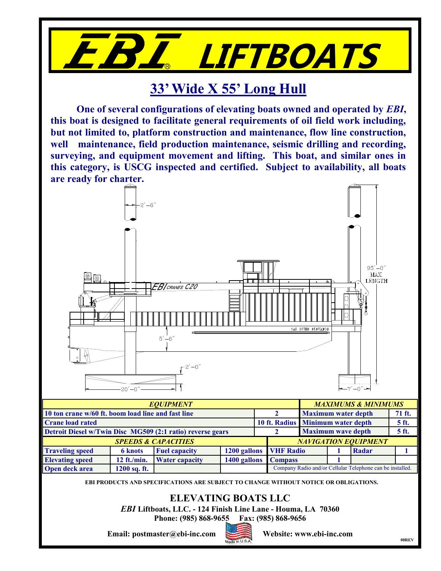

## **33' Wide X 55' Long Hull**

**One of several configurations of elevating boats owned and operated by** *EBI***, this boat is designed to facilitate general requirements of oil field work including, but not limited to, platform construction and maintenance, flow line construction, well maintenance, field production maintenance, seismic drilling and recording, surveying, and equipment movement and lifting. This boat, and similar ones in this category, is USCG inspected and certified. Subject to availability, all boats are ready for charter.**



**EBI PRODUCTS AND SPECIFICATIONS ARE SUBJECT TO CHANGE WITHOUT NOTICE OR OBLIGATIONS.**

## **ELEVATING BOATS LLC**

*EBI* **Liftboats, LLC. - 124 Finish Line Lane - Houma, LA 70360**

**Phone: (985) 868-9655 Fax: (985) 868-9656**

**Email: postmaster@ebi-inc.com Website: www.ebi-inc.com**